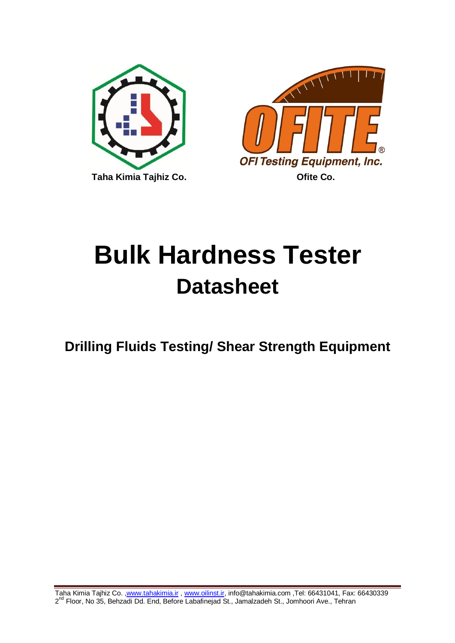



# **Bulk Hardness Tester Datasheet**

## **Drilling Fluids Testing/ Shear Strength Equipment**

Taha Kimia Tajhiz Co. [,www.tahakimia.ir](http://www.tahakimia.ir/) , [www.oilinst.ir,](http://www.oilinst.ir/) info@tahakimia.com ,Tel: 66431041, Fax: 66430339 2<sup>nd</sup> Floor, No 35, Behzadi Dd. End, Before Labafinejad St., Jamalzadeh St., Jomhoori Ave., Tehran